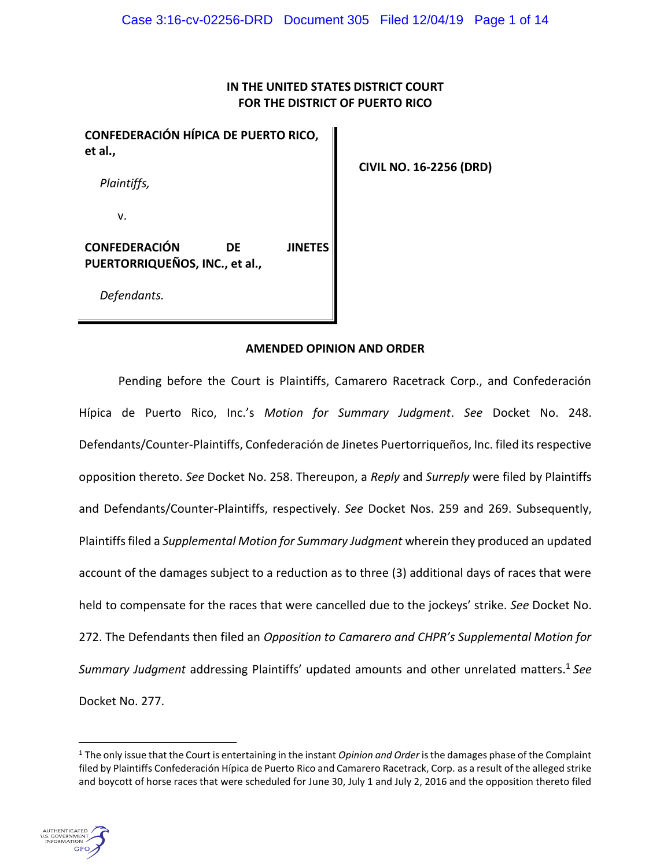# **IN THE UNITED STATES DISTRICT COURT FOR THE DISTRICT OF PUERTO RICO**

**CONFEDERACIÓN HÍPICA DE PUERTO RICO, et al.,**

*Plaintiffs,*

v.

**CONFEDERACIÓN DE JINETES PUERTORRIQUEÑOS, INC., et al.,**

 **CIVIL NO. 16-2256 (DRD)**

*Defendants.*

### **AMENDED OPINION AND ORDER**

Pending before the Court is Plaintiffs, Camarero Racetrack Corp., and Confederación Hípica de Puerto Rico, Inc.'s *Motion for Summary Judgment*. *See* Docket No. 248. Defendants/Counter-Plaintiffs, Confederación de Jinetes Puertorriqueños, Inc. filed its respective opposition thereto. *See* Docket No. 258. Thereupon, a *Reply* and *Surreply* were filed by Plaintiffs and Defendants/Counter-Plaintiffs, respectively. *See* Docket Nos. 259 and 269. Subsequently, Plaintiffs filed a *Supplemental Motion for Summary Judgment* wherein they produced an updated account of the damages subject to a reduction as to three (3) additional days of races that were held to compensate for the races that were cancelled due to the jockeys' strike. *See* Docket No. 272. The Defendants then filed an *Opposition to Camarero and CHPR's Supplemental Motion for Summary Judgment* addressing Plaintiffs' updated amounts and other unrelated matters. <sup>1</sup> *See* Docket No. 277.

<sup>1</sup> The only issue that the Court is entertaining in the instant *Opinion and Order* is the damages phase of the Complaint filed by Plaintiffs Confederación Hípica de Puerto Rico and Camarero Racetrack, Corp. as a result of the alleged strike and boycott of horse races that were scheduled for June 30, July 1 and July 2, 2016 and the opposition thereto filed

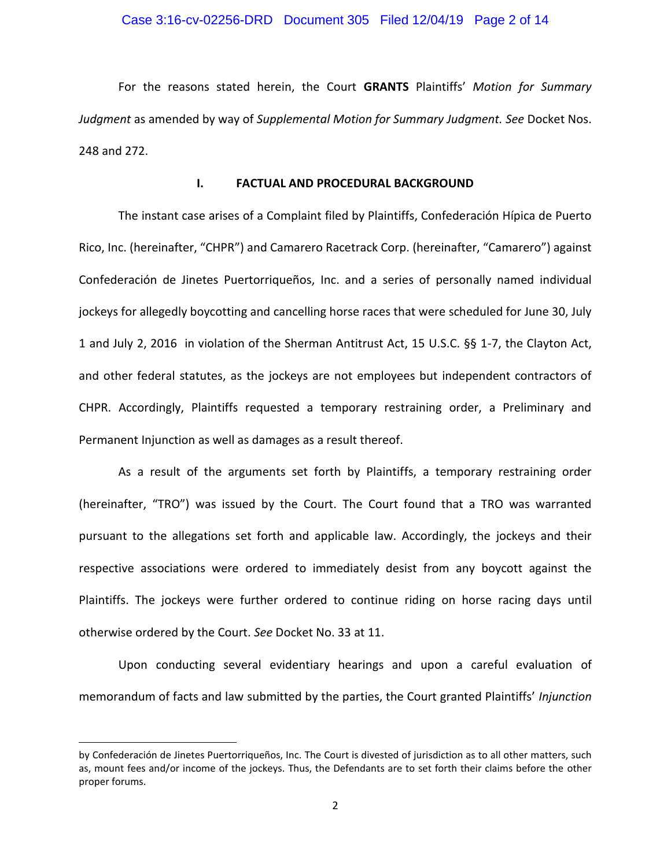### Case 3:16-cv-02256-DRD Document 305 Filed 12/04/19 Page 2 of 14

For the reasons stated herein, the Court **GRANTS** Plaintiffs' *Motion for Summary Judgment* as amended by way of *Supplemental Motion for Summary Judgment. See* Docket Nos. 248 and 272.

### **I. FACTUAL AND PROCEDURAL BACKGROUND**

The instant case arises of a Complaint filed by Plaintiffs, Confederación Hípica de Puerto Rico, Inc. (hereinafter, "CHPR") and Camarero Racetrack Corp. (hereinafter, "Camarero") against Confederación de Jinetes Puertorriqueños, Inc. and a series of personally named individual jockeys for allegedly boycotting and cancelling horse races that were scheduled for June 30, July 1 and July 2, 2016 in violation of the Sherman Antitrust Act, 15 U.S.C. §§ 1-7, the Clayton Act, and other federal statutes, as the jockeys are not employees but independent contractors of CHPR. Accordingly, Plaintiffs requested a temporary restraining order, a Preliminary and Permanent Injunction as well as damages as a result thereof.

As a result of the arguments set forth by Plaintiffs, a temporary restraining order (hereinafter, "TRO") was issued by the Court. The Court found that a TRO was warranted pursuant to the allegations set forth and applicable law. Accordingly, the jockeys and their respective associations were ordered to immediately desist from any boycott against the Plaintiffs. The jockeys were further ordered to continue riding on horse racing days until otherwise ordered by the Court. *See* Docket No. 33 at 11.

Upon conducting several evidentiary hearings and upon a careful evaluation of memorandum of facts and law submitted by the parties, the Court granted Plaintiffs' *Injunction*

by Confederación de Jinetes Puertorriqueños, Inc. The Court is divested of jurisdiction as to all other matters, such as, mount fees and/or income of the jockeys. Thus, the Defendants are to set forth their claims before the other proper forums.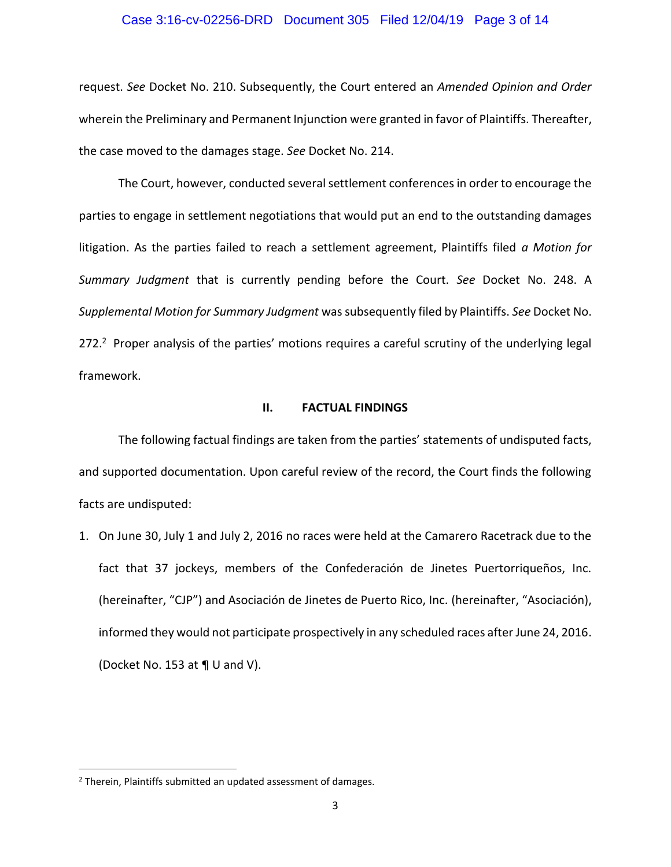#### Case 3:16-cv-02256-DRD Document 305 Filed 12/04/19 Page 3 of 14

request. *See* Docket No. 210. Subsequently, the Court entered an *Amended Opinion and Order*  wherein the Preliminary and Permanent Injunction were granted in favor of Plaintiffs. Thereafter, the case moved to the damages stage. *See* Docket No. 214.

The Court, however, conducted several settlement conferences in order to encourage the parties to engage in settlement negotiations that would put an end to the outstanding damages litigation. As the parties failed to reach a settlement agreement, Plaintiffs filed *a Motion for Summary Judgment* that is currently pending before the Court. *See* Docket No. 248. A *Supplemental Motion for Summary Judgment* was subsequently filed by Plaintiffs. *See* Docket No. 272.<sup>2</sup> Proper analysis of the parties' motions requires a careful scrutiny of the underlying legal framework.

#### **II. FACTUAL FINDINGS**

The following factual findings are taken from the parties' statements of undisputed facts, and supported documentation. Upon careful review of the record, the Court finds the following facts are undisputed:

1. On June 30, July 1 and July 2, 2016 no races were held at the Camarero Racetrack due to the fact that 37 jockeys, members of the Confederación de Jinetes Puertorriqueños, Inc. (hereinafter, "CJP") and Asociación de Jinetes de Puerto Rico, Inc. (hereinafter, "Asociación), informed they would not participate prospectively in any scheduled races after June 24, 2016. (Docket No. 153 at ¶ U and V).

 $\overline{\phantom{a}}$ 

<sup>2</sup> Therein, Plaintiffs submitted an updated assessment of damages.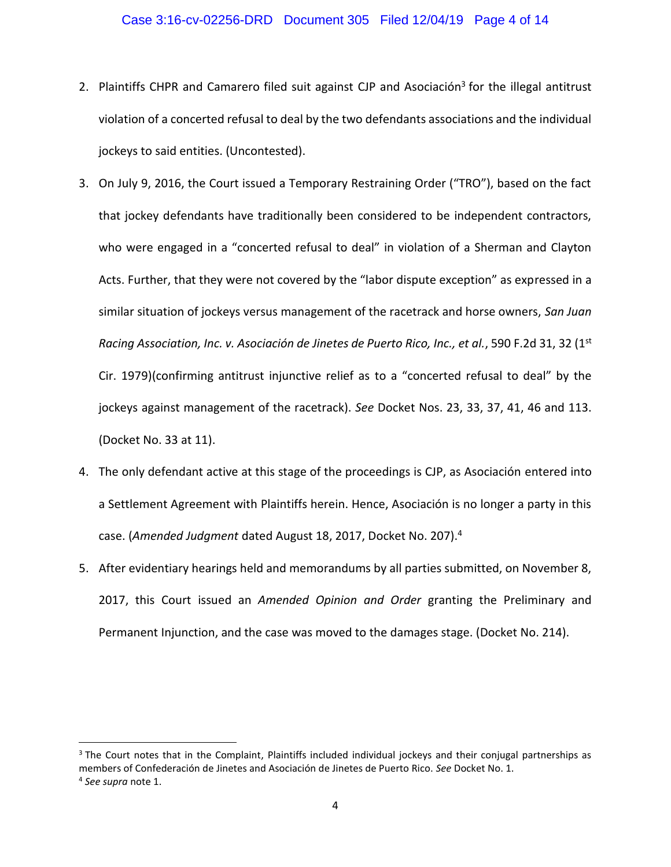### Case 3:16-cv-02256-DRD Document 305 Filed 12/04/19 Page 4 of 14

- 2. Plaintiffs CHPR and Camarero filed suit against CJP and Asociación<sup>3</sup> for the illegal antitrust violation of a concerted refusal to deal by the two defendants associations and the individual jockeys to said entities. (Uncontested).
- 3. On July 9, 2016, the Court issued a Temporary Restraining Order ("TRO"), based on the fact that jockey defendants have traditionally been considered to be independent contractors, who were engaged in a "concerted refusal to deal" in violation of a Sherman and Clayton Acts. Further, that they were not covered by the "labor dispute exception" as expressed in a similar situation of jockeys versus management of the racetrack and horse owners, *San Juan Racing Association, Inc. v. Asociación de Jinetes de Puerto Rico, Inc., et al.*, 590 F.2d 31, 32 (1st Cir. 1979)(confirming antitrust injunctive relief as to a "concerted refusal to deal" by the jockeys against management of the racetrack). *See* Docket Nos. 23, 33, 37, 41, 46 and 113. (Docket No. 33 at 11).
- 4. The only defendant active at this stage of the proceedings is CJP, as Asociación entered into a Settlement Agreement with Plaintiffs herein. Hence, Asociación is no longer a party in this case. (*Amended Judgment* dated August 18, 2017, Docket No. 207).<sup>4</sup>
- 5. After evidentiary hearings held and memorandums by all parties submitted, on November 8, 2017, this Court issued an *Amended Opinion and Order* granting the Preliminary and Permanent Injunction, and the case was moved to the damages stage. (Docket No. 214).

<sup>&</sup>lt;sup>3</sup> The Court notes that in the Complaint, Plaintiffs included individual jockeys and their conjugal partnerships as members of Confederación de Jinetes and Asociación de Jinetes de Puerto Rico. *See* Docket No. 1. 4 *See supra* note 1.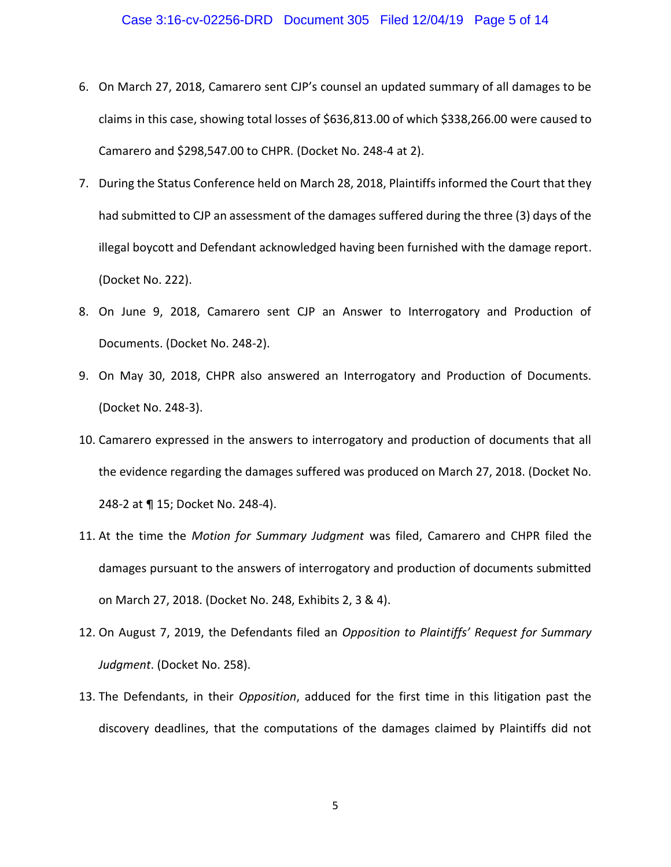- 6. On March 27, 2018, Camarero sent CJP's counsel an updated summary of all damages to be claims in this case, showing total losses of \$636,813.00 of which \$338,266.00 were caused to Camarero and \$298,547.00 to CHPR. (Docket No. 248-4 at 2).
- 7. During the Status Conference held on March 28, 2018, Plaintiffs informed the Court that they had submitted to CJP an assessment of the damages suffered during the three (3) days of the illegal boycott and Defendant acknowledged having been furnished with the damage report. (Docket No. 222).
- 8. On June 9, 2018, Camarero sent CJP an Answer to Interrogatory and Production of Documents. (Docket No. 248-2).
- 9. On May 30, 2018, CHPR also answered an Interrogatory and Production of Documents. (Docket No. 248-3).
- 10. Camarero expressed in the answers to interrogatory and production of documents that all the evidence regarding the damages suffered was produced on March 27, 2018. (Docket No. 248-2 at ¶ 15; Docket No. 248-4).
- 11. At the time the *Motion for Summary Judgment* was filed, Camarero and CHPR filed the damages pursuant to the answers of interrogatory and production of documents submitted on March 27, 2018. (Docket No. 248, Exhibits 2, 3 & 4).
- 12. On August 7, 2019, the Defendants filed an *Opposition to Plaintiffs' Request for Summary Judgment*. (Docket No. 258).
- 13. The Defendants, in their *Opposition*, adduced for the first time in this litigation past the discovery deadlines, that the computations of the damages claimed by Plaintiffs did not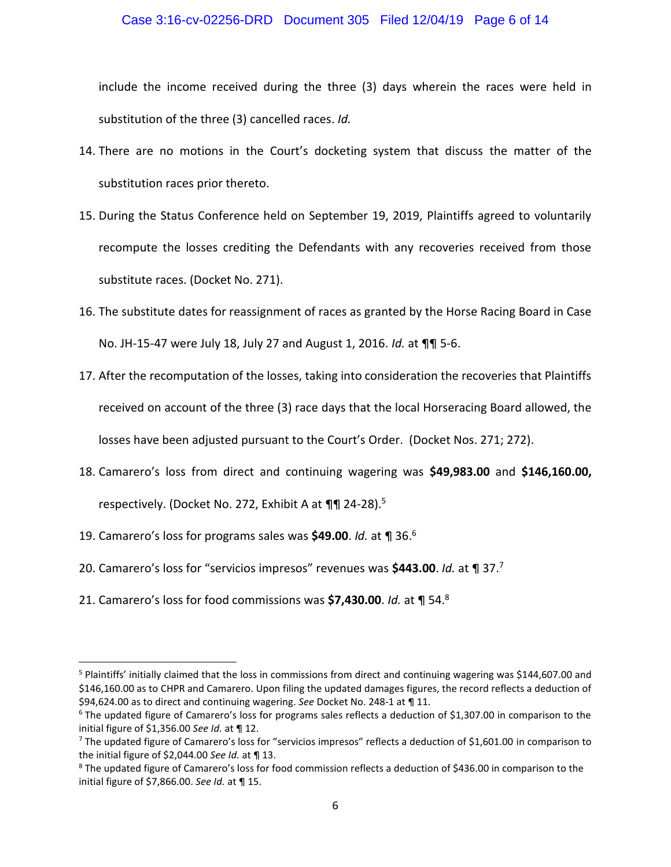### Case 3:16-cv-02256-DRD Document 305 Filed 12/04/19 Page 6 of 14

include the income received during the three (3) days wherein the races were held in substitution of the three (3) cancelled races. *Id.*

- 14. There are no motions in the Court's docketing system that discuss the matter of the substitution races prior thereto.
- 15. During the Status Conference held on September 19, 2019, Plaintiffs agreed to voluntarily recompute the losses crediting the Defendants with any recoveries received from those substitute races. (Docket No. 271).
- 16. The substitute dates for reassignment of races as granted by the Horse Racing Board in Case No. JH-15-47 were July 18, July 27 and August 1, 2016. *Id.* at ¶¶ 5-6.
- 17. After the recomputation of the losses, taking into consideration the recoveries that Plaintiffs received on account of the three (3) race days that the local Horseracing Board allowed, the losses have been adjusted pursuant to the Court's Order. (Docket Nos. 271; 272).
- 18. Camarero's loss from direct and continuing wagering was **\$49,983.00** and **\$146,160.00,**  respectively. (Docket No. 272, Exhibit A at ¶¶ 24-28).<sup>5</sup>
- 19. Camarero's loss for programs sales was **\$49.00**. *Id.* at ¶ 36.<sup>6</sup>

 $\overline{\phantom{a}}$ 

- 20. Camarero's loss for "servicios impresos" revenues was **\$443.00**. *Id.* at ¶ 37.<sup>7</sup>
- 21. Camarero's loss for food commissions was **\$7,430.00**. *Id.* at ¶ 54.<sup>8</sup>

<sup>&</sup>lt;sup>5</sup> Plaintiffs' initially claimed that the loss in commissions from direct and continuing wagering was \$144,607.00 and \$146,160.00 as to CHPR and Camarero. Upon filing the updated damages figures, the record reflects a deduction of \$94,624.00 as to direct and continuing wagering. *See* Docket No. 248-1 at ¶ 11.

 $6$  The updated figure of Camarero's loss for programs sales reflects a deduction of \$1,307.00 in comparison to the initial figure of \$1,356.00 *See Id.* at ¶ 12.

 $7$  The updated figure of Camarero's loss for "servicios impresos" reflects a deduction of \$1,601.00 in comparison to the initial figure of \$2,044.00 *See Id.* at ¶ 13.

<sup>&</sup>lt;sup>8</sup> The updated figure of Camarero's loss for food commission reflects a deduction of \$436.00 in comparison to the initial figure of \$7,866.00. *See Id.* at ¶ 15.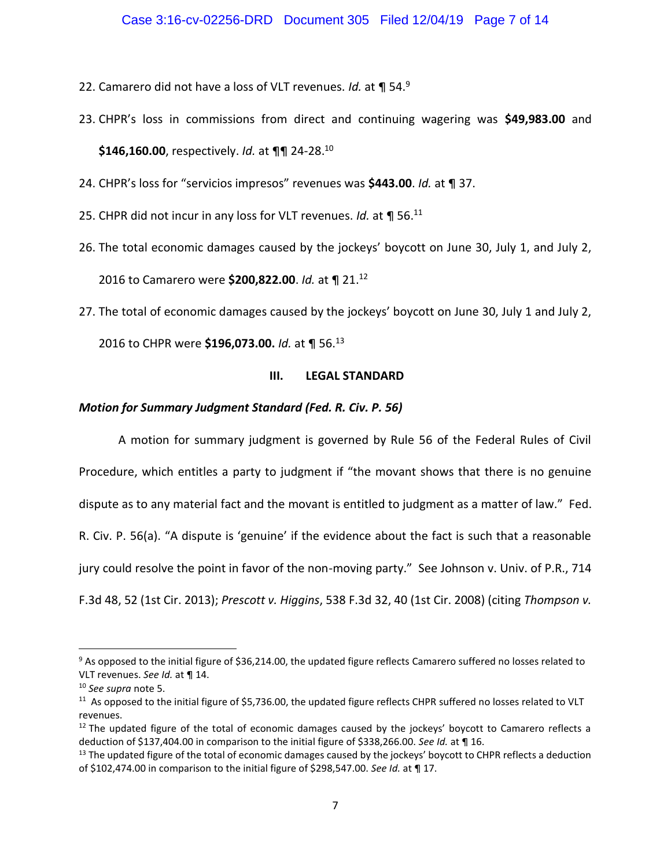- 22. Camarero did not have a loss of VLT revenues. *Id.* at ¶ 54.<sup>9</sup>
- 23. CHPR's loss in commissions from direct and continuing wagering was **\$49,983.00** and **\$146,160.00**, respectively. *Id.* at ¶¶ 24-28.<sup>10</sup>
- 24. CHPR's loss for "servicios impresos" revenues was **\$443.00**. *Id.* at ¶ 37.
- 25. CHPR did not incur in any loss for VLT revenues. *Id.* at ¶ 56.<sup>11</sup>
- 26. The total economic damages caused by the jockeys' boycott on June 30, July 1, and July 2, 2016 to Camarero were **\$200,822.00**. *Id.* at ¶ 21.<sup>12</sup>
- 27. The total of economic damages caused by the jockeys' boycott on June 30, July 1 and July 2,

2016 to CHPR were **\$196,073.00.** *Id.* at ¶ 56.<sup>13</sup>

### **III. LEGAL STANDARD**

## *Motion for Summary Judgment Standard (Fed. R. Civ. P. 56)*

A motion for summary judgment is governed by Rule 56 of the Federal Rules of Civil Procedure, which entitles a party to judgment if "the movant shows that there is no genuine dispute as to any material fact and the movant is entitled to judgment as a matter of law." Fed. R. Civ. P. 56(a). "A dispute is 'genuine' if the evidence about the fact is such that a reasonable jury could resolve the point in favor of the non-moving party." See Johnson v. Univ. of P.R., 714 F.3d 48, 52 (1st Cir. 2013); *Prescott v. Higgins*, 538 F.3d 32, 40 (1st Cir. 2008) (citing *Thompson v.* 

<sup>&</sup>lt;sup>9</sup> As opposed to the initial figure of \$36,214.00, the updated figure reflects Camarero suffered no losses related to VLT revenues. *See Id.* at ¶ 14.

<sup>10</sup> *See supra* note 5.

 $11$  As opposed to the initial figure of \$5,736.00, the updated figure reflects CHPR suffered no losses related to VLT revenues.

 $12$  The updated figure of the total of economic damages caused by the jockeys' boycott to Camarero reflects a deduction of \$137,404.00 in comparison to the initial figure of \$338,266.00. *See Id.* at ¶ 16.

 $13$  The updated figure of the total of economic damages caused by the jockeys' boycott to CHPR reflects a deduction of \$102,474.00 in comparison to the initial figure of \$298,547.00. *See Id.* at ¶ 17.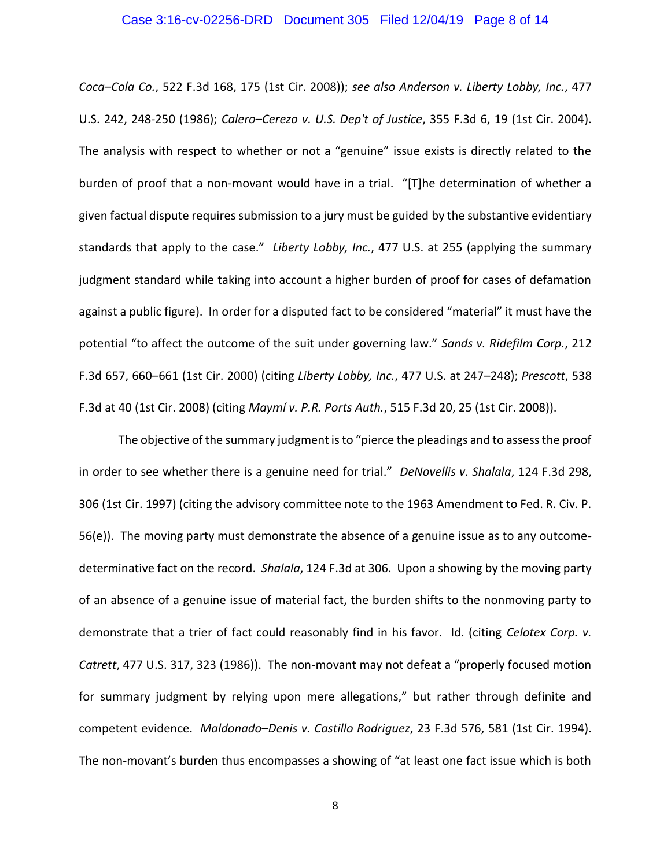#### Case 3:16-cv-02256-DRD Document 305 Filed 12/04/19 Page 8 of 14

*Coca–Cola Co.*, 522 F.3d 168, 175 (1st Cir. 2008)); *see also Anderson v. Liberty Lobby, Inc.*, 477 U.S. 242, 248-250 (1986); *Calero–Cerezo v. U.S. Dep't of Justice*, 355 F.3d 6, 19 (1st Cir. 2004). The analysis with respect to whether or not a "genuine" issue exists is directly related to the burden of proof that a non-movant would have in a trial. "[T]he determination of whether a given factual dispute requires submission to a jury must be guided by the substantive evidentiary standards that apply to the case." *Liberty Lobby, Inc.*, 477 U.S. at 255 (applying the summary judgment standard while taking into account a higher burden of proof for cases of defamation against a public figure). In order for a disputed fact to be considered "material" it must have the potential "to affect the outcome of the suit under governing law." *Sands v. Ridefilm Corp.*, 212 F.3d 657, 660–661 (1st Cir. 2000) (citing *Liberty Lobby, Inc.*, 477 U.S. at 247–248); *Prescott*, 538 F.3d at 40 (1st Cir. 2008) (citing *Maymí v. P.R. Ports Auth.*, 515 F.3d 20, 25 (1st Cir. 2008)).

The objective of the summary judgment is to "pierce the pleadings and to assess the proof in order to see whether there is a genuine need for trial." *DeNovellis v. Shalala*, 124 F.3d 298, 306 (1st Cir. 1997) (citing the advisory committee note to the 1963 Amendment to Fed. R. Civ. P. 56(e)). The moving party must demonstrate the absence of a genuine issue as to any outcomedeterminative fact on the record. *Shalala*, 124 F.3d at 306. Upon a showing by the moving party of an absence of a genuine issue of material fact, the burden shifts to the nonmoving party to demonstrate that a trier of fact could reasonably find in his favor. Id. (citing *Celotex Corp. v. Catrett*, 477 U.S. 317, 323 (1986)). The non-movant may not defeat a "properly focused motion for summary judgment by relying upon mere allegations," but rather through definite and competent evidence. *Maldonado–Denis v. Castillo Rodriguez*, 23 F.3d 576, 581 (1st Cir. 1994). The non-movant's burden thus encompasses a showing of "at least one fact issue which is both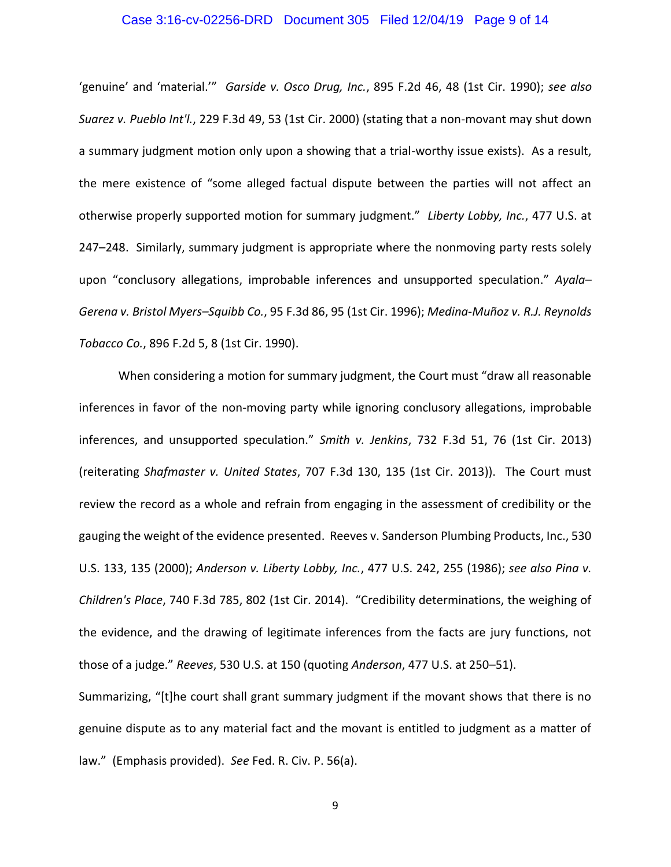### Case 3:16-cv-02256-DRD Document 305 Filed 12/04/19 Page 9 of 14

'genuine' and 'material.'" *Garside v. Osco Drug, Inc.*, 895 F.2d 46, 48 (1st Cir. 1990); *see also Suarez v. Pueblo Int'l.*, 229 F.3d 49, 53 (1st Cir. 2000) (stating that a non-movant may shut down a summary judgment motion only upon a showing that a trial-worthy issue exists). As a result, the mere existence of "some alleged factual dispute between the parties will not affect an otherwise properly supported motion for summary judgment." *Liberty Lobby, Inc.*, 477 U.S. at 247–248. Similarly, summary judgment is appropriate where the nonmoving party rests solely upon "conclusory allegations, improbable inferences and unsupported speculation." *Ayala– Gerena v. Bristol Myers–Squibb Co.*, 95 F.3d 86, 95 (1st Cir. 1996); *Medina-Muñoz v. R.J. Reynolds Tobacco Co.*, 896 F.2d 5, 8 (1st Cir. 1990).

When considering a motion for summary judgment, the Court must "draw all reasonable inferences in favor of the non-moving party while ignoring conclusory allegations, improbable inferences, and unsupported speculation." *Smith v. Jenkins*, 732 F.3d 51, 76 (1st Cir. 2013) (reiterating *Shafmaster v. United States*, 707 F.3d 130, 135 (1st Cir. 2013)). The Court must review the record as a whole and refrain from engaging in the assessment of credibility or the gauging the weight of the evidence presented. Reeves v. Sanderson Plumbing Products, Inc., 530 U.S. 133, 135 (2000); *Anderson v. Liberty Lobby, Inc.*, 477 U.S. 242, 255 (1986); *see also Pina v. Children's Place*, 740 F.3d 785, 802 (1st Cir. 2014). "Credibility determinations, the weighing of the evidence, and the drawing of legitimate inferences from the facts are jury functions, not those of a judge." *Reeves*, 530 U.S. at 150 (quoting *Anderson*, 477 U.S. at 250–51).

Summarizing, "[t]he court shall grant summary judgment if the movant shows that there is no genuine dispute as to any material fact and the movant is entitled to judgment as a matter of law." (Emphasis provided). *See* Fed. R. Civ. P. 56(a).

9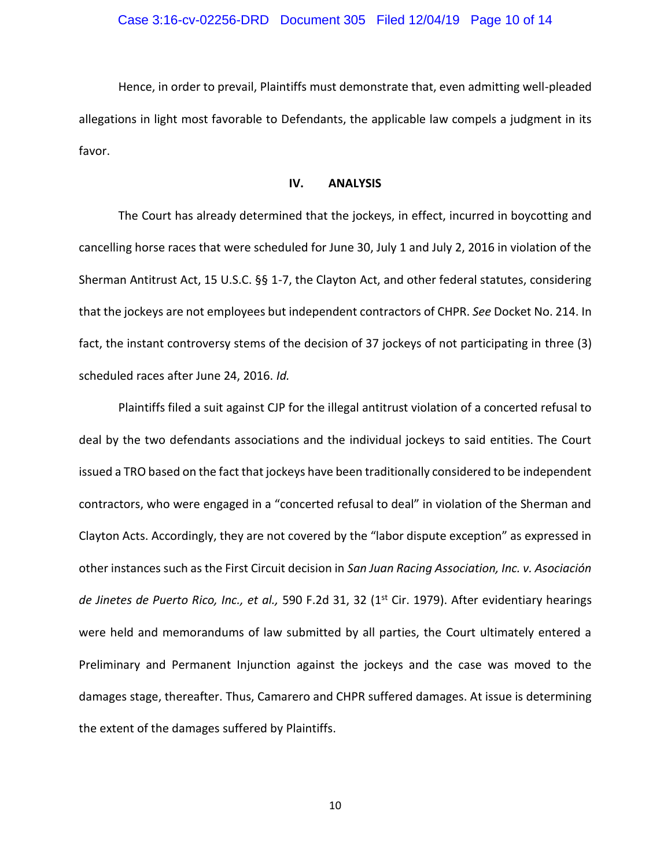Hence, in order to prevail, Plaintiffs must demonstrate that, even admitting well-pleaded allegations in light most favorable to Defendants, the applicable law compels a judgment in its favor.

### **IV. ANALYSIS**

The Court has already determined that the jockeys, in effect, incurred in boycotting and cancelling horse races that were scheduled for June 30, July 1 and July 2, 2016 in violation of the Sherman Antitrust Act, 15 U.S.C. §§ 1-7, the Clayton Act, and other federal statutes, considering that the jockeys are not employees but independent contractors of CHPR. *See* Docket No. 214. In fact, the instant controversy stems of the decision of 37 jockeys of not participating in three (3) scheduled races after June 24, 2016. *Id.*

Plaintiffs filed a suit against CJP for the illegal antitrust violation of a concerted refusal to deal by the two defendants associations and the individual jockeys to said entities. The Court issued a TRO based on the fact that jockeys have been traditionally considered to be independent contractors, who were engaged in a "concerted refusal to deal" in violation of the Sherman and Clayton Acts. Accordingly, they are not covered by the "labor dispute exception" as expressed in other instances such as the First Circuit decision in *San Juan Racing Association, Inc. v. Asociación de Jinetes de Puerto Rico, Inc., et al.,* 590 F.2d 31, 32 (1st Cir. 1979). After evidentiary hearings were held and memorandums of law submitted by all parties, the Court ultimately entered a Preliminary and Permanent Injunction against the jockeys and the case was moved to the damages stage, thereafter. Thus, Camarero and CHPR suffered damages. At issue is determining the extent of the damages suffered by Plaintiffs.

10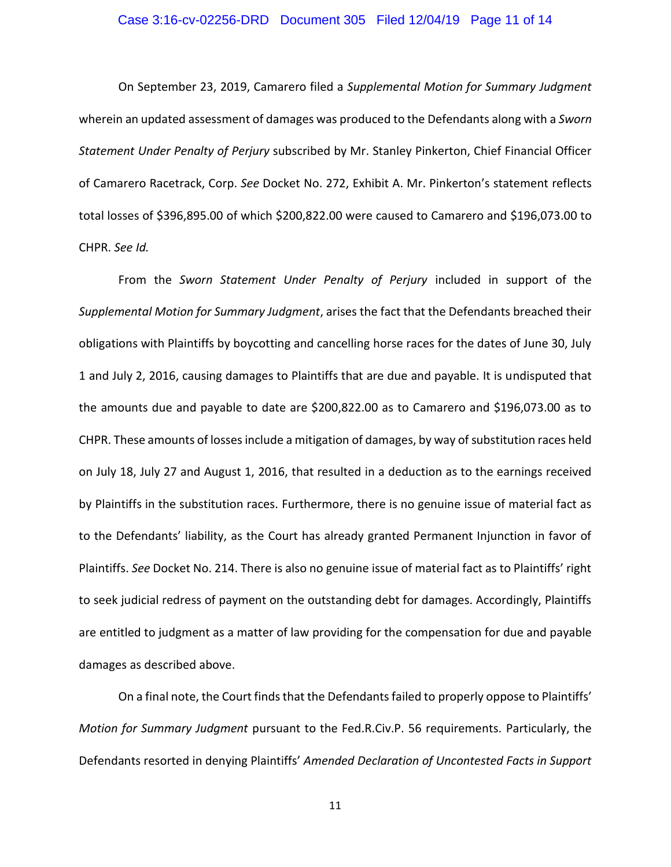#### Case 3:16-cv-02256-DRD Document 305 Filed 12/04/19 Page 11 of 14

On September 23, 2019, Camarero filed a *Supplemental Motion for Summary Judgment* wherein an updated assessment of damages was produced to the Defendants along with a *Sworn Statement Under Penalty of Perjury* subscribed by Mr. Stanley Pinkerton, Chief Financial Officer of Camarero Racetrack, Corp. *See* Docket No. 272, Exhibit A. Mr. Pinkerton's statement reflects total losses of \$396,895.00 of which \$200,822.00 were caused to Camarero and \$196,073.00 to CHPR. *See Id.*

From the *Sworn Statement Under Penalty of Perjury* included in support of the *Supplemental Motion for Summary Judgment*, arises the fact that the Defendants breached their obligations with Plaintiffs by boycotting and cancelling horse races for the dates of June 30, July 1 and July 2, 2016, causing damages to Plaintiffs that are due and payable. It is undisputed that the amounts due and payable to date are \$200,822.00 as to Camarero and \$196,073.00 as to CHPR. These amounts of losses include a mitigation of damages, by way of substitution races held on July 18, July 27 and August 1, 2016, that resulted in a deduction as to the earnings received by Plaintiffs in the substitution races. Furthermore, there is no genuine issue of material fact as to the Defendants' liability, as the Court has already granted Permanent Injunction in favor of Plaintiffs. *See* Docket No. 214. There is also no genuine issue of material fact as to Plaintiffs' right to seek judicial redress of payment on the outstanding debt for damages. Accordingly, Plaintiffs are entitled to judgment as a matter of law providing for the compensation for due and payable damages as described above.

On a final note, the Court finds that the Defendants failed to properly oppose to Plaintiffs' *Motion for Summary Judgment* pursuant to the Fed.R.Civ.P. 56 requirements. Particularly, the Defendants resorted in denying Plaintiffs' *Amended Declaration of Uncontested Facts in Support* 

11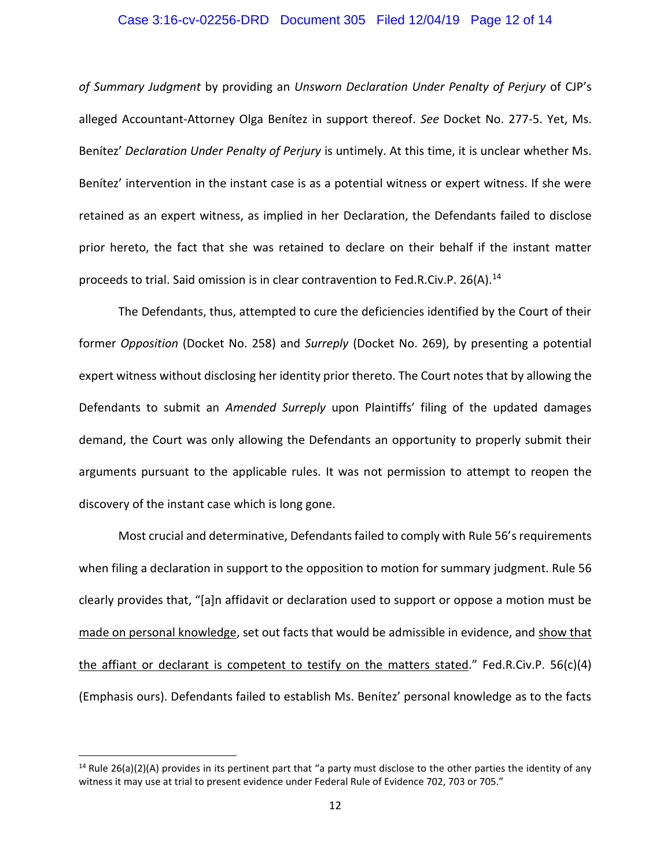### Case 3:16-cv-02256-DRD Document 305 Filed 12/04/19 Page 12 of 14

*of Summary Judgment* by providing an *Unsworn Declaration Under Penalty of Perjury* of CJP's alleged Accountant-Attorney Olga Benítez in support thereof. *See* Docket No. 277-5. Yet, Ms. Benítez' *Declaration Under Penalty of Perjury* is untimely. At this time, it is unclear whether Ms. Benítez' intervention in the instant case is as a potential witness or expert witness. If she were retained as an expert witness, as implied in her Declaration, the Defendants failed to disclose prior hereto, the fact that she was retained to declare on their behalf if the instant matter proceeds to trial. Said omission is in clear contravention to Fed.R.Civ.P. 26(A).<sup>14</sup>

The Defendants, thus, attempted to cure the deficiencies identified by the Court of their former *Opposition* (Docket No. 258) and *Surreply* (Docket No. 269), by presenting a potential expert witness without disclosing her identity prior thereto. The Court notes that by allowing the Defendants to submit an *Amended Surreply* upon Plaintiffs' filing of the updated damages demand, the Court was only allowing the Defendants an opportunity to properly submit their arguments pursuant to the applicable rules. It was not permission to attempt to reopen the discovery of the instant case which is long gone.

Most crucial and determinative, Defendants failed to comply with Rule 56's requirements when filing a declaration in support to the opposition to motion for summary judgment. Rule 56 clearly provides that, "[a]n affidavit or declaration used to support or oppose a motion must be made on personal knowledge, set out facts that would be admissible in evidence, and show that the affiant or declarant is competent to testify on the matters stated." Fed.R.Civ.P. 56(c)(4) (Emphasis ours). Defendants failed to establish Ms. Benítez' personal knowledge as to the facts

 $\overline{\phantom{a}}$ 

<sup>&</sup>lt;sup>14</sup> Rule 26(a)(2)(A) provides in its pertinent part that "a party must disclose to the other parties the identity of any witness it may use at trial to present evidence under Federal Rule of Evidence 702, 703 or 705."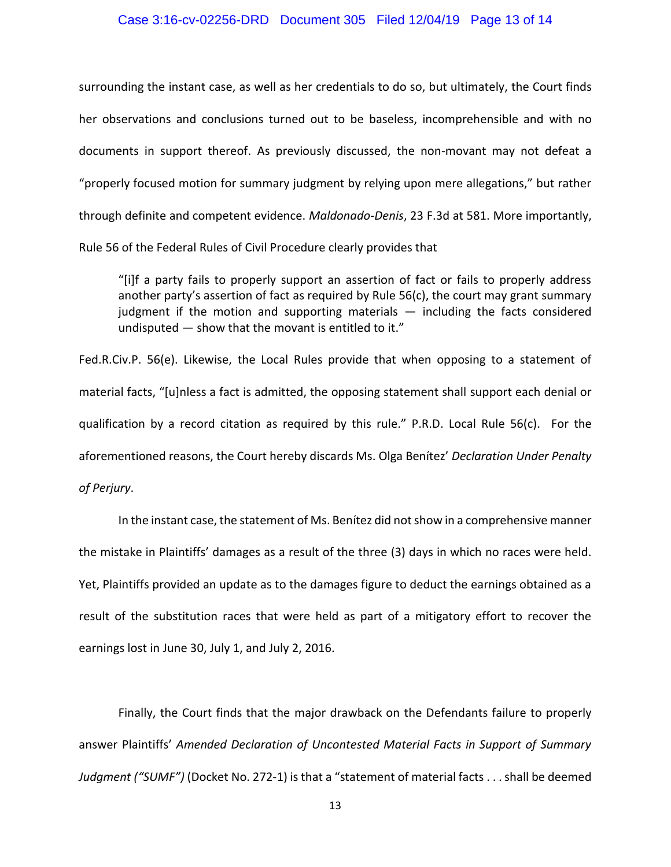#### Case 3:16-cv-02256-DRD Document 305 Filed 12/04/19 Page 13 of 14

surrounding the instant case, as well as her credentials to do so, but ultimately, the Court finds her observations and conclusions turned out to be baseless, incomprehensible and with no documents in support thereof. As previously discussed, the non-movant may not defeat a "properly focused motion for summary judgment by relying upon mere allegations," but rather through definite and competent evidence. *Maldonado-Denis*, 23 F.3d at 581. More importantly, Rule 56 of the Federal Rules of Civil Procedure clearly provides that

"[i]f a party fails to properly support an assertion of fact or fails to properly address another party's assertion of fact as required by Rule 56(c), the court may grant summary judgment if the motion and supporting materials — including the facts considered undisputed — show that the movant is entitled to it."

Fed.R.Civ.P. 56(e). Likewise, the Local Rules provide that when opposing to a statement of material facts, "[u]nless a fact is admitted, the opposing statement shall support each denial or qualification by a record citation as required by this rule." P.R.D. Local Rule 56(c). For the aforementioned reasons, the Court hereby discards Ms. Olga Benítez' *Declaration Under Penalty of Perjury*.

In the instant case, the statement of Ms. Benítez did not show in a comprehensive manner the mistake in Plaintiffs' damages as a result of the three (3) days in which no races were held. Yet, Plaintiffs provided an update as to the damages figure to deduct the earnings obtained as a result of the substitution races that were held as part of a mitigatory effort to recover the earnings lost in June 30, July 1, and July 2, 2016.

Finally, the Court finds that the major drawback on the Defendants failure to properly answer Plaintiffs' *Amended Declaration of Uncontested Material Facts in Support of Summary Judgment ("SUMF")* (Docket No. 272-1) is that a "statement of material facts . . . shall be deemed